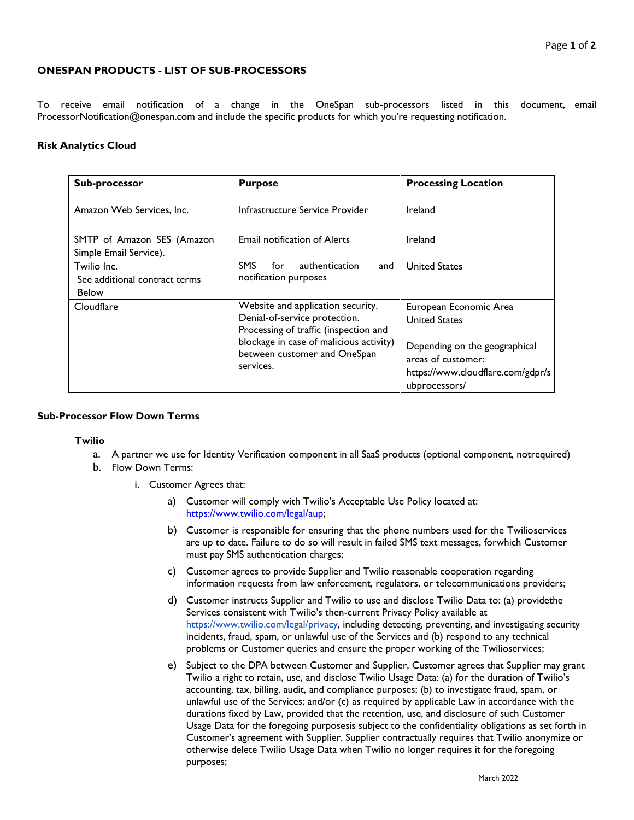## **ONESPAN PRODUCTS - LIST OF SUB-PROCESSORS**

To receive email notification of a change in the OneSpan sub-processors listed in this document, email [ProcessorNotification@onespan.com a](mailto:ProcessorNotification@onespan.com)nd include the specific products for which you're requesting notification.

## **Risk Analytics Cloud**

| Sub-processor                                                | <b>Purpose</b>                                                                                                                                                                                      | <b>Processing Location</b>                                                                                                                                  |
|--------------------------------------------------------------|-----------------------------------------------------------------------------------------------------------------------------------------------------------------------------------------------------|-------------------------------------------------------------------------------------------------------------------------------------------------------------|
| Amazon Web Services, Inc.                                    | Infrastructure Service Provider                                                                                                                                                                     | Ireland                                                                                                                                                     |
| SMTP of Amazon SES (Amazon<br>Simple Email Service).         | <b>Email notification of Alerts</b>                                                                                                                                                                 | Ireland                                                                                                                                                     |
| Twilio Inc.<br>See additional contract terms<br><b>Below</b> | <b>SMS</b><br>for<br>authentication<br>and<br>notification purposes                                                                                                                                 | <b>United States</b>                                                                                                                                        |
| Cloudflare                                                   | Website and application security.<br>Denial-of-service protection.<br>Processing of traffic (inspection and<br>blockage in case of malicious activity)<br>between customer and OneSpan<br>services. | European Economic Area<br><b>United States</b><br>Depending on the geographical<br>areas of customer:<br>https://www.cloudflare.com/gdpr/s<br>ubprocessors/ |

## **Sub-Processor Flow Down Terms**

## **Twilio**

- a. A partner we use for Identity Verification component in all SaaS products (optional component, notrequired)
- b. Flow Down Terms:
	- i. Customer Agrees that:
		- a) Customer will comply with Twilio's Acceptable Use Policy located at: [https://www.twilio.com/legal/aup;](https://www.twilio.com/legal/aup)
		- b) Customer is responsible for ensuring that the phone numbers used for the Twilioservices are up to date. Failure to do so will result in failed SMS text messages, forwhich Customer must pay SMS authentication charges;
		- c) Customer agrees to provide Supplier and Twilio reasonable cooperation regarding information requests from law enforcement, regulators, or telecommunications providers;
		- d) Customer instructs Supplier and Twilio to use and disclose Twilio Data to: (a) providethe Services consistent with Twilio's then-current Privacy Policy available at [https://www.twilio.com/legal/privacy, in](https://www.twilio.com/legal/privacy)cluding detecting, preventing, and investigating security incidents, fraud, spam, or unlawful use of the Services and (b) respond to any technical problems or Customer queries and ensure the proper working of the Twilioservices;
		- e) Subject to the DPA between Customer and Supplier, Customer agrees that Supplier may grant Twilio a right to retain, use, and disclose Twilio Usage Data: (a) for the duration of Twilio's accounting, tax, billing, audit, and compliance purposes; (b) to investigate fraud, spam, or unlawful use of the Services; and/or (c) as required by applicable Law in accordance with the durations fixed by Law, provided that the retention, use, and disclosure of such Customer Usage Data for the foregoing purposesis subject to the confidentiality obligations as set forth in Customer's agreement with Supplier. Supplier contractually requires that Twilio anonymize or otherwise delete Twilio Usage Data when Twilio no longer requires it for the foregoing purposes;